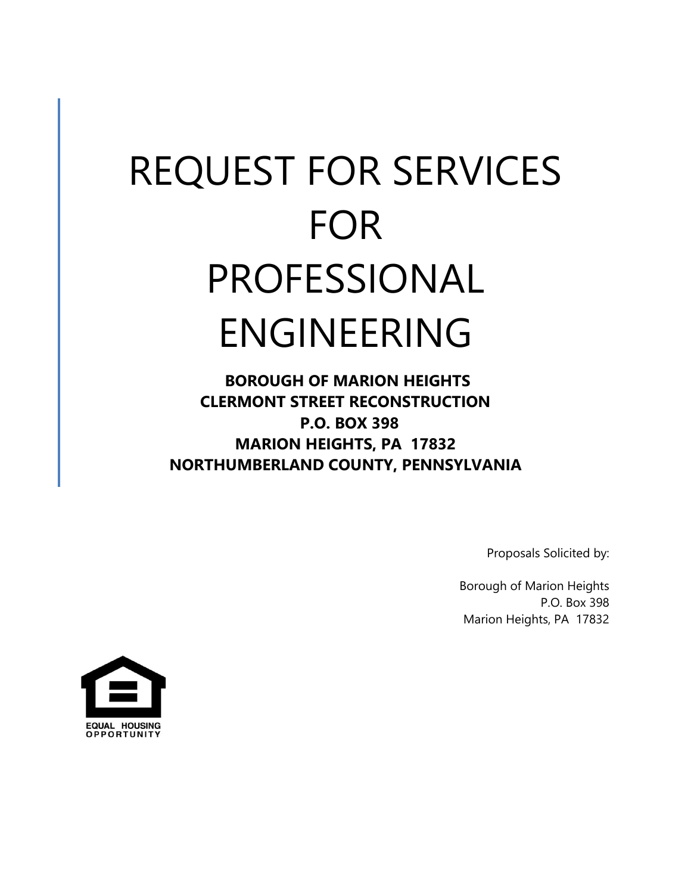# REQUEST FOR SERVICES FOR PROFESSIONAL ENGINEERING

**BOROUGH OF MARION HEIGHTS CLERMONT STREET RECONSTRUCTION P.O. BOX 398 MARION HEIGHTS, PA 17832 NORTHUMBERLAND COUNTY, PENNSYLVANIA**

Proposals Solicited by:

Borough of Marion Heights P.O. Box 398 Marion Heights, PA 17832

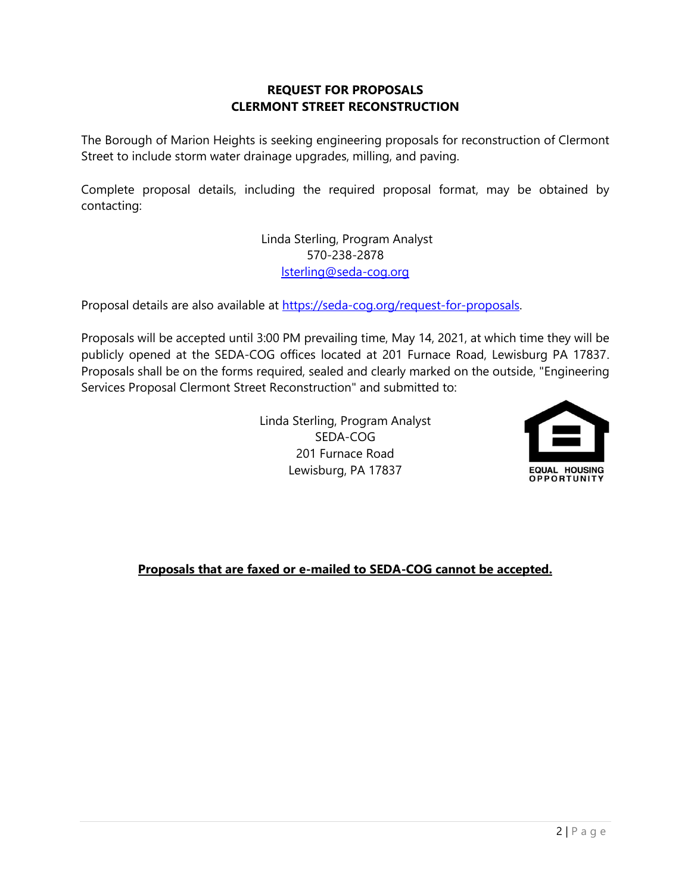#### **REQUEST FOR PROPOSALS CLERMONT STREET RECONSTRUCTION**

The Borough of Marion Heights is seeking engineering proposals for reconstruction of Clermont Street to include storm water drainage upgrades, milling, and paving.

Complete proposal details, including the required proposal format, may be obtained by contacting:

> Linda Sterling, Program Analyst 570-238-2878 [lsterling@seda-cog.org](mailto:lsterling@seda-cog.org)

Proposal details are also available at [https://seda-cog.org/request-for-proposals.](https://seda-cog.org/request-for-proposals) 

Proposals will be accepted until 3:00 PM prevailing time, May 14, 2021, at which time they will be publicly opened at the SEDA-COG offices located at 201 Furnace Road, Lewisburg PA 17837. Proposals shall be on the forms required, sealed and clearly marked on the outside, "Engineering Services Proposal Clermont Street Reconstruction" and submitted to:

> Linda Sterling, Program Analyst SEDA-COG 201 Furnace Road Lewisburg, PA 17837



**Proposals that are faxed or e-mailed to SEDA-COG cannot be accepted.**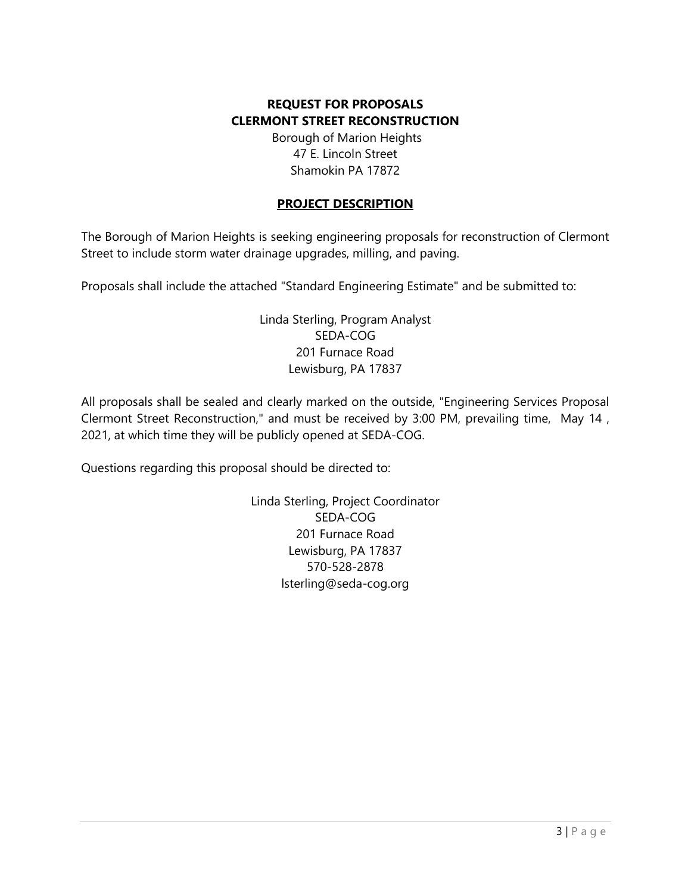# **REQUEST FOR PROPOSALS CLERMONT STREET RECONSTRUCTION**

Borough of Marion Heights 47 E. Lincoln Street Shamokin PA 17872

### **PROJECT DESCRIPTION**

The Borough of Marion Heights is seeking engineering proposals for reconstruction of Clermont Street to include storm water drainage upgrades, milling, and paving.

Proposals shall include the attached "Standard Engineering Estimate" and be submitted to:

Linda Sterling, Program Analyst SEDA-COG 201 Furnace Road Lewisburg, PA 17837

All proposals shall be sealed and clearly marked on the outside, "Engineering Services Proposal Clermont Street Reconstruction," and must be received by 3:00 PM, prevailing time, May 14 , 2021, at which time they will be publicly opened at SEDA-COG.

Questions regarding this proposal should be directed to:

Linda Sterling, Project Coordinator SEDA-COG 201 Furnace Road Lewisburg, PA 17837 570-528-2878 lsterling@seda-cog.org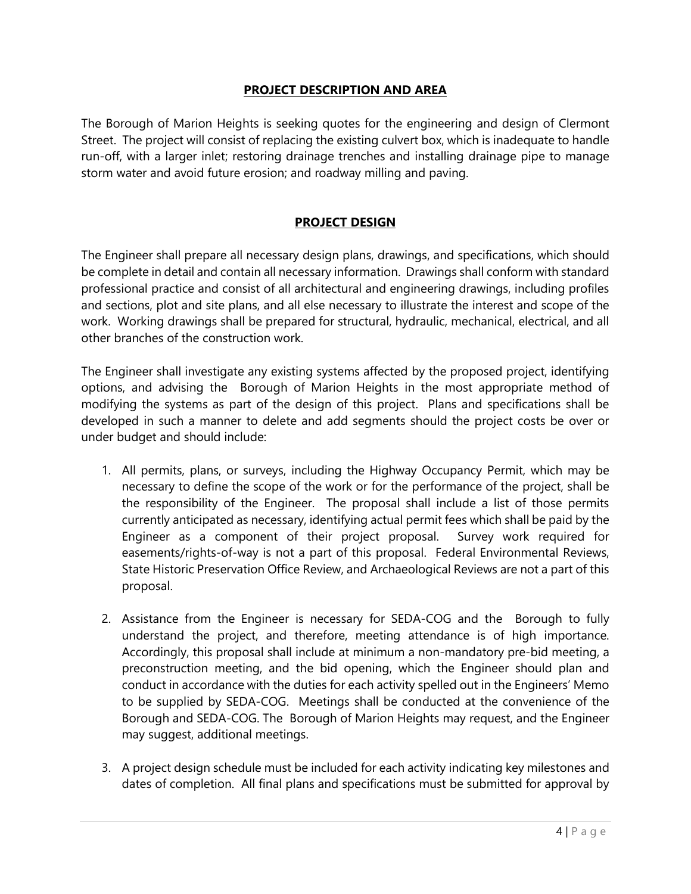#### **PROJECT DESCRIPTION AND AREA**

The Borough of Marion Heights is seeking quotes for the engineering and design of Clermont Street. The project will consist of replacing the existing culvert box, which is inadequate to handle run-off, with a larger inlet; restoring drainage trenches and installing drainage pipe to manage storm water and avoid future erosion; and roadway milling and paving.

### **PROJECT DESIGN**

The Engineer shall prepare all necessary design plans, drawings, and specifications, which should be complete in detail and contain all necessary information. Drawings shall conform with standard professional practice and consist of all architectural and engineering drawings, including profiles and sections, plot and site plans, and all else necessary to illustrate the interest and scope of the work. Working drawings shall be prepared for structural, hydraulic, mechanical, electrical, and all other branches of the construction work.

The Engineer shall investigate any existing systems affected by the proposed project, identifying options, and advising the Borough of Marion Heights in the most appropriate method of modifying the systems as part of the design of this project. Plans and specifications shall be developed in such a manner to delete and add segments should the project costs be over or under budget and should include:

- 1. All permits, plans, or surveys, including the Highway Occupancy Permit, which may be necessary to define the scope of the work or for the performance of the project, shall be the responsibility of the Engineer. The proposal shall include a list of those permits currently anticipated as necessary, identifying actual permit fees which shall be paid by the Engineer as a component of their project proposal. Survey work required for easements/rights-of-way is not a part of this proposal. Federal Environmental Reviews, State Historic Preservation Office Review, and Archaeological Reviews are not a part of this proposal.
- 2. Assistance from the Engineer is necessary for SEDA-COG and the Borough to fully understand the project, and therefore, meeting attendance is of high importance. Accordingly, this proposal shall include at minimum a non-mandatory pre-bid meeting, a preconstruction meeting, and the bid opening, which the Engineer should plan and conduct in accordance with the duties for each activity spelled out in the Engineers' Memo to be supplied by SEDA-COG. Meetings shall be conducted at the convenience of the Borough and SEDA-COG. The Borough of Marion Heights may request, and the Engineer may suggest, additional meetings.
- 3. A project design schedule must be included for each activity indicating key milestones and dates of completion. All final plans and specifications must be submitted for approval by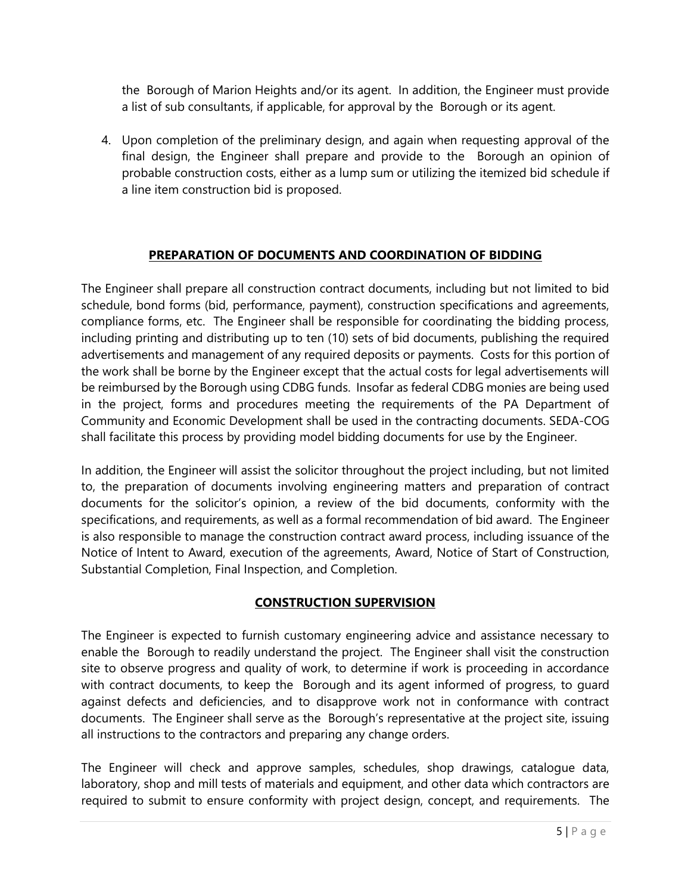the Borough of Marion Heights and/or its agent. In addition, the Engineer must provide a list of sub consultants, if applicable, for approval by the Borough or its agent.

4. Upon completion of the preliminary design, and again when requesting approval of the final design, the Engineer shall prepare and provide to the Borough an opinion of probable construction costs, either as a lump sum or utilizing the itemized bid schedule if a line item construction bid is proposed.

# **PREPARATION OF DOCUMENTS AND COORDINATION OF BIDDING**

The Engineer shall prepare all construction contract documents, including but not limited to bid schedule, bond forms (bid, performance, payment), construction specifications and agreements, compliance forms, etc. The Engineer shall be responsible for coordinating the bidding process, including printing and distributing up to ten (10) sets of bid documents, publishing the required advertisements and management of any required deposits or payments. Costs for this portion of the work shall be borne by the Engineer except that the actual costs for legal advertisements will be reimbursed by the Borough using CDBG funds. Insofar as federal CDBG monies are being used in the project, forms and procedures meeting the requirements of the PA Department of Community and Economic Development shall be used in the contracting documents. SEDA-COG shall facilitate this process by providing model bidding documents for use by the Engineer.

In addition, the Engineer will assist the solicitor throughout the project including, but not limited to, the preparation of documents involving engineering matters and preparation of contract documents for the solicitor's opinion, a review of the bid documents, conformity with the specifications, and requirements, as well as a formal recommendation of bid award. The Engineer is also responsible to manage the construction contract award process, including issuance of the Notice of Intent to Award, execution of the agreements, Award, Notice of Start of Construction, Substantial Completion, Final Inspection, and Completion.

### **CONSTRUCTION SUPERVISION**

The Engineer is expected to furnish customary engineering advice and assistance necessary to enable the Borough to readily understand the project. The Engineer shall visit the construction site to observe progress and quality of work, to determine if work is proceeding in accordance with contract documents, to keep the Borough and its agent informed of progress, to guard against defects and deficiencies, and to disapprove work not in conformance with contract documents. The Engineer shall serve as the Borough's representative at the project site, issuing all instructions to the contractors and preparing any change orders.

The Engineer will check and approve samples, schedules, shop drawings, catalogue data, laboratory, shop and mill tests of materials and equipment, and other data which contractors are required to submit to ensure conformity with project design, concept, and requirements. The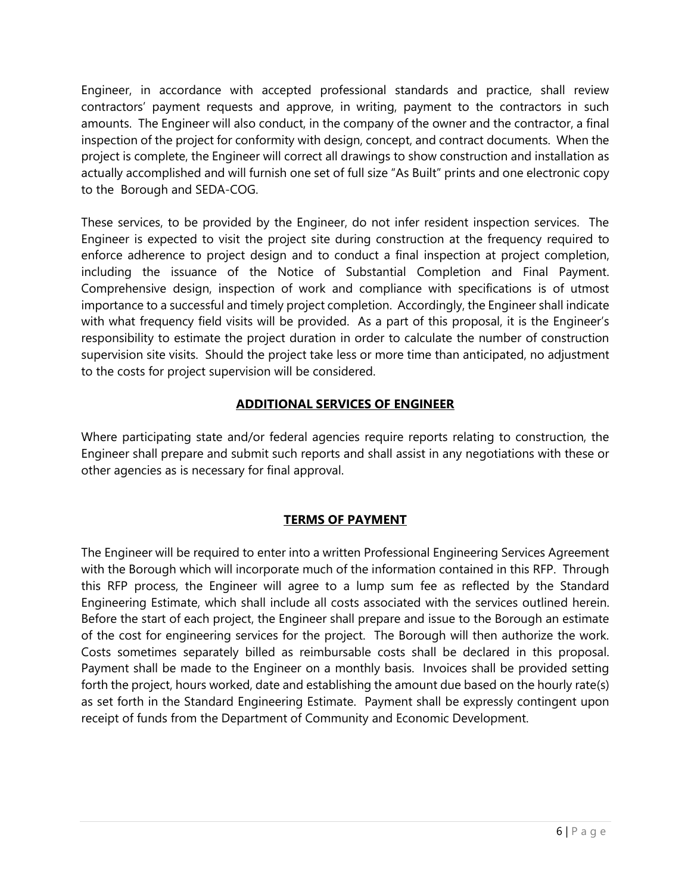Engineer, in accordance with accepted professional standards and practice, shall review contractors' payment requests and approve, in writing, payment to the contractors in such amounts. The Engineer will also conduct, in the company of the owner and the contractor, a final inspection of the project for conformity with design, concept, and contract documents. When the project is complete, the Engineer will correct all drawings to show construction and installation as actually accomplished and will furnish one set of full size "As Built" prints and one electronic copy to the Borough and SEDA-COG.

These services, to be provided by the Engineer, do not infer resident inspection services. The Engineer is expected to visit the project site during construction at the frequency required to enforce adherence to project design and to conduct a final inspection at project completion, including the issuance of the Notice of Substantial Completion and Final Payment. Comprehensive design, inspection of work and compliance with specifications is of utmost importance to a successful and timely project completion. Accordingly, the Engineer shall indicate with what frequency field visits will be provided. As a part of this proposal, it is the Engineer's responsibility to estimate the project duration in order to calculate the number of construction supervision site visits. Should the project take less or more time than anticipated, no adjustment to the costs for project supervision will be considered.

# **ADDITIONAL SERVICES OF ENGINEER**

Where participating state and/or federal agencies require reports relating to construction, the Engineer shall prepare and submit such reports and shall assist in any negotiations with these or other agencies as is necessary for final approval.

### **TERMS OF PAYMENT**

The Engineer will be required to enter into a written Professional Engineering Services Agreement with the Borough which will incorporate much of the information contained in this RFP. Through this RFP process, the Engineer will agree to a lump sum fee as reflected by the Standard Engineering Estimate, which shall include all costs associated with the services outlined herein. Before the start of each project, the Engineer shall prepare and issue to the Borough an estimate of the cost for engineering services for the project. The Borough will then authorize the work. Costs sometimes separately billed as reimbursable costs shall be declared in this proposal. Payment shall be made to the Engineer on a monthly basis. Invoices shall be provided setting forth the project, hours worked, date and establishing the amount due based on the hourly rate(s) as set forth in the Standard Engineering Estimate. Payment shall be expressly contingent upon receipt of funds from the Department of Community and Economic Development.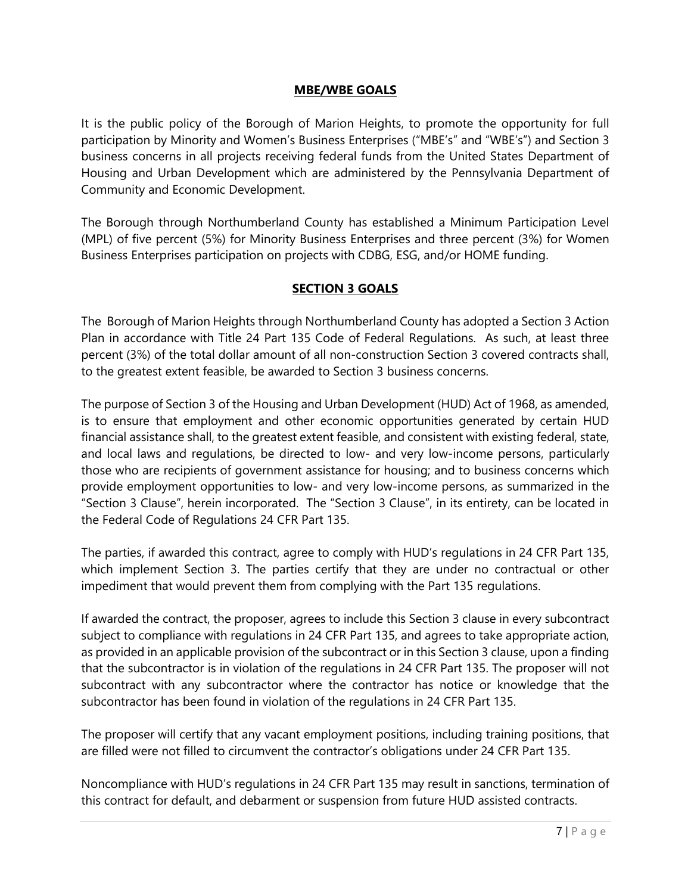#### **MBE/WBE GOALS**

It is the public policy of the Borough of Marion Heights, to promote the opportunity for full participation by Minority and Women's Business Enterprises ("MBE's" and "WBE's") and Section 3 business concerns in all projects receiving federal funds from the United States Department of Housing and Urban Development which are administered by the Pennsylvania Department of Community and Economic Development.

The Borough through Northumberland County has established a Minimum Participation Level (MPL) of five percent (5%) for Minority Business Enterprises and three percent (3%) for Women Business Enterprises participation on projects with CDBG, ESG, and/or HOME funding.

### **SECTION 3 GOALS**

The Borough of Marion Heights through Northumberland County has adopted a Section 3 Action Plan in accordance with Title 24 Part 135 Code of Federal Regulations. As such, at least three percent (3%) of the total dollar amount of all non-construction Section 3 covered contracts shall, to the greatest extent feasible, be awarded to Section 3 business concerns.

The purpose of Section 3 of the Housing and Urban Development (HUD) Act of 1968, as amended, is to ensure that employment and other economic opportunities generated by certain HUD financial assistance shall, to the greatest extent feasible, and consistent with existing federal, state, and local laws and regulations, be directed to low- and very low-income persons, particularly those who are recipients of government assistance for housing; and to business concerns which provide employment opportunities to low- and very low-income persons, as summarized in the "Section 3 Clause", herein incorporated. The "Section 3 Clause", in its entirety, can be located in the Federal Code of Regulations 24 CFR Part 135.

The parties, if awarded this contract, agree to comply with HUD's regulations in 24 CFR Part 135, which implement Section 3. The parties certify that they are under no contractual or other impediment that would prevent them from complying with the Part 135 regulations.

If awarded the contract, the proposer, agrees to include this Section 3 clause in every subcontract subject to compliance with regulations in 24 CFR Part 135, and agrees to take appropriate action, as provided in an applicable provision of the subcontract or in this Section 3 clause, upon a finding that the subcontractor is in violation of the regulations in 24 CFR Part 135. The proposer will not subcontract with any subcontractor where the contractor has notice or knowledge that the subcontractor has been found in violation of the regulations in 24 CFR Part 135.

The proposer will certify that any vacant employment positions, including training positions, that are filled were not filled to circumvent the contractor's obligations under 24 CFR Part 135.

Noncompliance with HUD's regulations in 24 CFR Part 135 may result in sanctions, termination of this contract for default, and debarment or suspension from future HUD assisted contracts.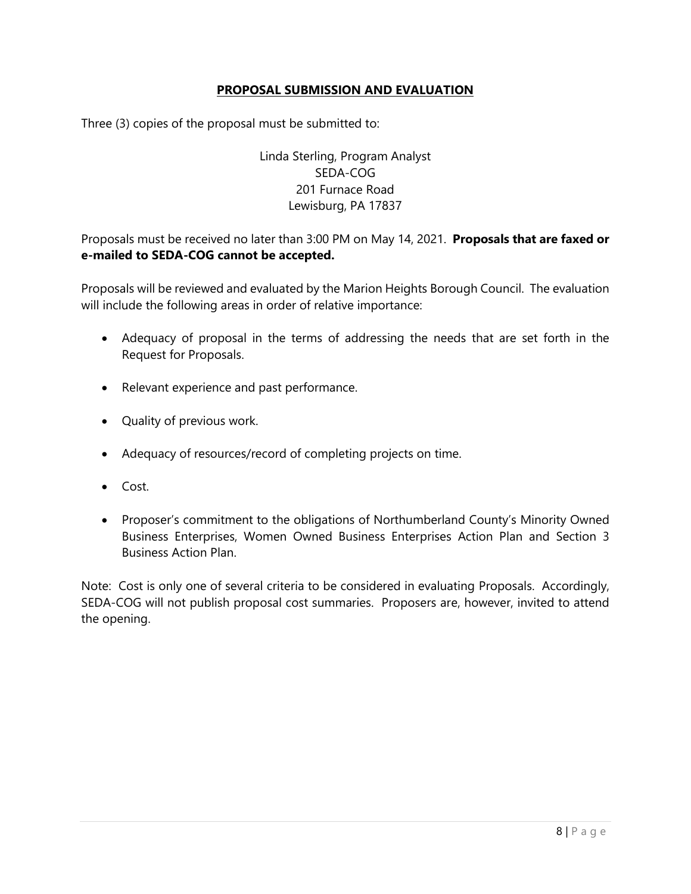#### **PROPOSAL SUBMISSION AND EVALUATION**

Three (3) copies of the proposal must be submitted to:

# Linda Sterling, Program Analyst SEDA-COG 201 Furnace Road Lewisburg, PA 17837

Proposals must be received no later than 3:00 PM on May 14, 2021. **Proposals that are faxed or e-mailed to SEDA-COG cannot be accepted.**

Proposals will be reviewed and evaluated by the Marion Heights Borough Council. The evaluation will include the following areas in order of relative importance:

- Adequacy of proposal in the terms of addressing the needs that are set forth in the Request for Proposals.
- Relevant experience and past performance.
- Quality of previous work.
- Adequacy of resources/record of completing projects on time.
- Cost.
- Proposer's commitment to the obligations of Northumberland County's Minority Owned Business Enterprises, Women Owned Business Enterprises Action Plan and Section 3 Business Action Plan.

Note: Cost is only one of several criteria to be considered in evaluating Proposals. Accordingly, SEDA-COG will not publish proposal cost summaries. Proposers are, however, invited to attend the opening.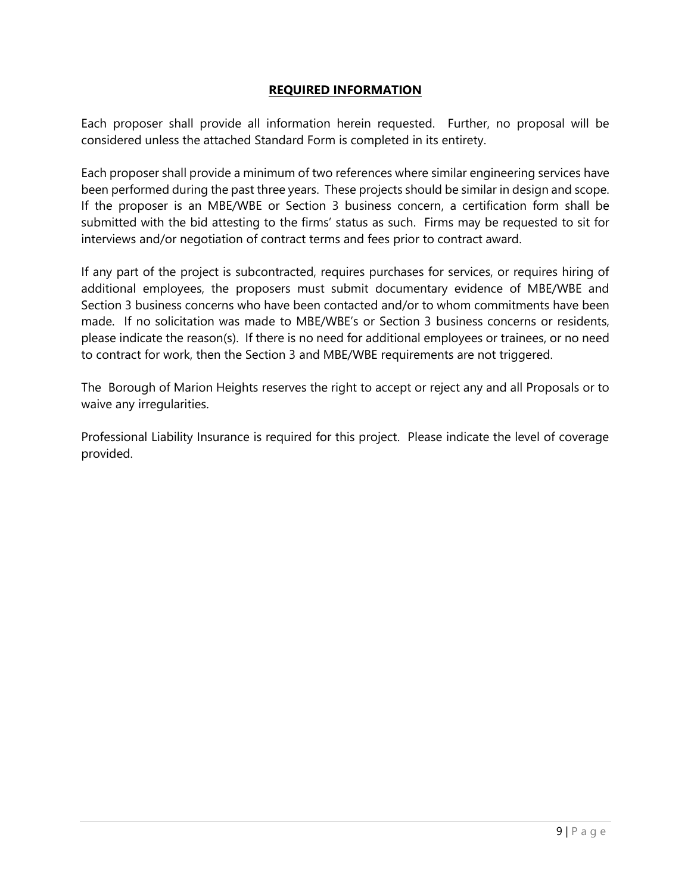#### **REQUIRED INFORMATION**

Each proposer shall provide all information herein requested. Further, no proposal will be considered unless the attached Standard Form is completed in its entirety.

Each proposer shall provide a minimum of two references where similar engineering services have been performed during the past three years. These projects should be similar in design and scope. If the proposer is an MBE/WBE or Section 3 business concern, a certification form shall be submitted with the bid attesting to the firms' status as such. Firms may be requested to sit for interviews and/or negotiation of contract terms and fees prior to contract award.

If any part of the project is subcontracted, requires purchases for services, or requires hiring of additional employees, the proposers must submit documentary evidence of MBE/WBE and Section 3 business concerns who have been contacted and/or to whom commitments have been made. If no solicitation was made to MBE/WBE's or Section 3 business concerns or residents, please indicate the reason(s). If there is no need for additional employees or trainees, or no need to contract for work, then the Section 3 and MBE/WBE requirements are not triggered.

The Borough of Marion Heights reserves the right to accept or reject any and all Proposals or to waive any irregularities.

Professional Liability Insurance is required for this project. Please indicate the level of coverage provided.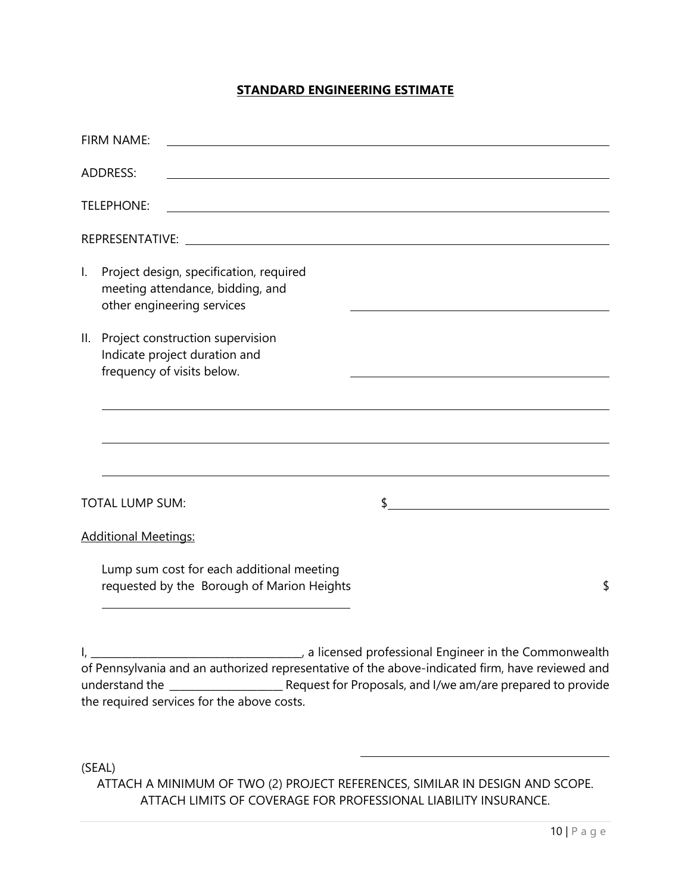#### **STANDARD ENGINEERING ESTIMATE**

|                | FIRM NAME:                                                                                                                                 |    |                                                                   |
|----------------|--------------------------------------------------------------------------------------------------------------------------------------------|----|-------------------------------------------------------------------|
|                | <b>ADDRESS:</b><br><u> 1980 - Johann Barn, mars ann an t-Amhain Aonaich an t-Aonaich an t-Aonaich ann an t-Aonaich ann an t-Aonaich</u>    |    |                                                                   |
|                | <b>TELEPHONE:</b><br><u> 1980 - Johann Stoff, deutscher Stoffen und der Stoffen und der Stoffen und der Stoffen und der Stoffen und de</u> |    |                                                                   |
|                |                                                                                                                                            |    |                                                                   |
| $\mathsf{L}$   | Project design, specification, required<br>meeting attendance, bidding, and<br>other engineering services                                  |    |                                                                   |
| $\mathbb{I}$ . | Project construction supervision<br>Indicate project duration and<br>frequency of visits below.                                            |    |                                                                   |
|                |                                                                                                                                            |    |                                                                   |
|                | <b>TOTAL LUMP SUM:</b>                                                                                                                     | \$ | <u> 1980 - Johann Barn, mars an t-Amerikaansk ferske område (</u> |
|                | <b>Additional Meetings:</b>                                                                                                                |    |                                                                   |
|                | Lump sum cost for each additional meeting<br>requested by the Borough of Marion Heights                                                    |    | \$                                                                |
|                |                                                                                                                                            |    | a licensed professional Engineer in the Commonwealth              |

of Pennsylvania and an authorized representative of the above-indicated firm, have reviewed and understand the \_\_\_\_\_\_\_\_\_\_\_\_\_\_\_\_\_\_\_\_\_\_ Request for Proposals, and I/we am/are prepared to provide the required services for the above costs.

(SEAL) ATTACH A MINIMUM OF TWO (2) PROJECT REFERENCES, SIMILAR IN DESIGN AND SCOPE. ATTACH LIMITS OF COVERAGE FOR PROFESSIONAL LIABILITY INSURANCE.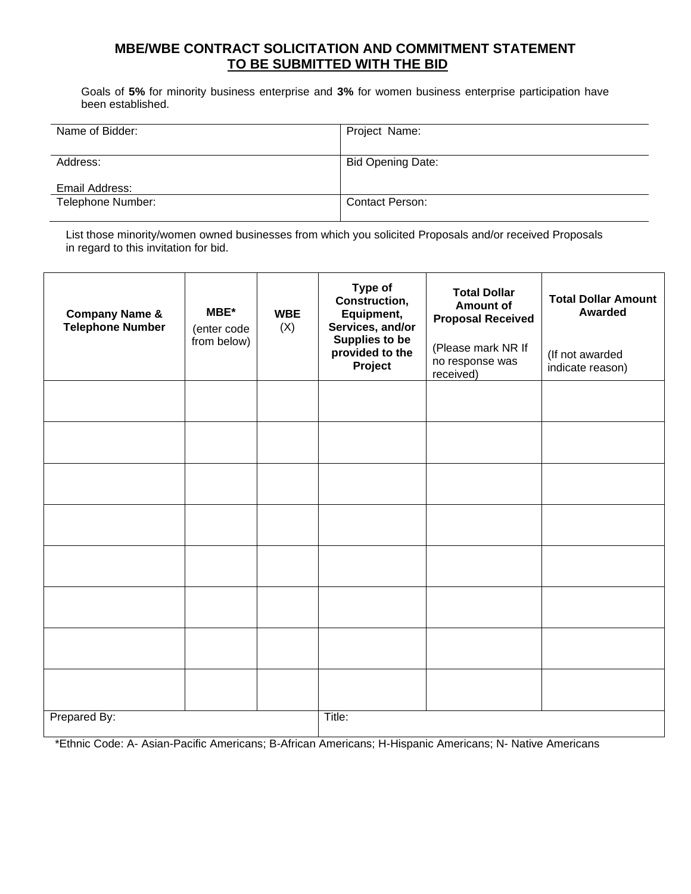### **MBE/WBE CONTRACT SOLICITATION AND COMMITMENT STATEMENT TO BE SUBMITTED WITH THE BID**

Goals of **5%** for minority business enterprise and **3%** for women business enterprise participation have been established.

| Name of Bidder:   | Project Name:            |
|-------------------|--------------------------|
|                   |                          |
| Address:          | <b>Bid Opening Date:</b> |
|                   |                          |
| Email Address:    |                          |
| Telephone Number: | Contact Person:          |
|                   |                          |

List those minority/women owned businesses from which you solicited Proposals and/or received Proposals in regard to this invitation for bid.

| <b>Company Name &amp;</b><br><b>Telephone Number</b> | MBE*<br>(enter code<br>from below) | <b>WBE</b><br>(X) | Type of<br>Construction,<br>Equipment,<br>Services, and/or<br><b>Supplies to be</b><br>provided to the<br>Project | <b>Total Dollar</b><br><b>Amount of</b><br><b>Proposal Received</b><br>(Please mark NR If<br>no response was<br>received) | <b>Total Dollar Amount</b><br><b>Awarded</b><br>(If not awarded<br>indicate reason) |
|------------------------------------------------------|------------------------------------|-------------------|-------------------------------------------------------------------------------------------------------------------|---------------------------------------------------------------------------------------------------------------------------|-------------------------------------------------------------------------------------|
|                                                      |                                    |                   |                                                                                                                   |                                                                                                                           |                                                                                     |
|                                                      |                                    |                   |                                                                                                                   |                                                                                                                           |                                                                                     |
|                                                      |                                    |                   |                                                                                                                   |                                                                                                                           |                                                                                     |
|                                                      |                                    |                   |                                                                                                                   |                                                                                                                           |                                                                                     |
|                                                      |                                    |                   |                                                                                                                   |                                                                                                                           |                                                                                     |
|                                                      |                                    |                   |                                                                                                                   |                                                                                                                           |                                                                                     |
|                                                      |                                    |                   |                                                                                                                   |                                                                                                                           |                                                                                     |
|                                                      |                                    |                   |                                                                                                                   |                                                                                                                           |                                                                                     |
| Prepared By:                                         |                                    |                   | Title:                                                                                                            |                                                                                                                           |                                                                                     |

\*Ethnic Code: A- Asian-Pacific Americans; B-African Americans; H-Hispanic Americans; N- Native Americans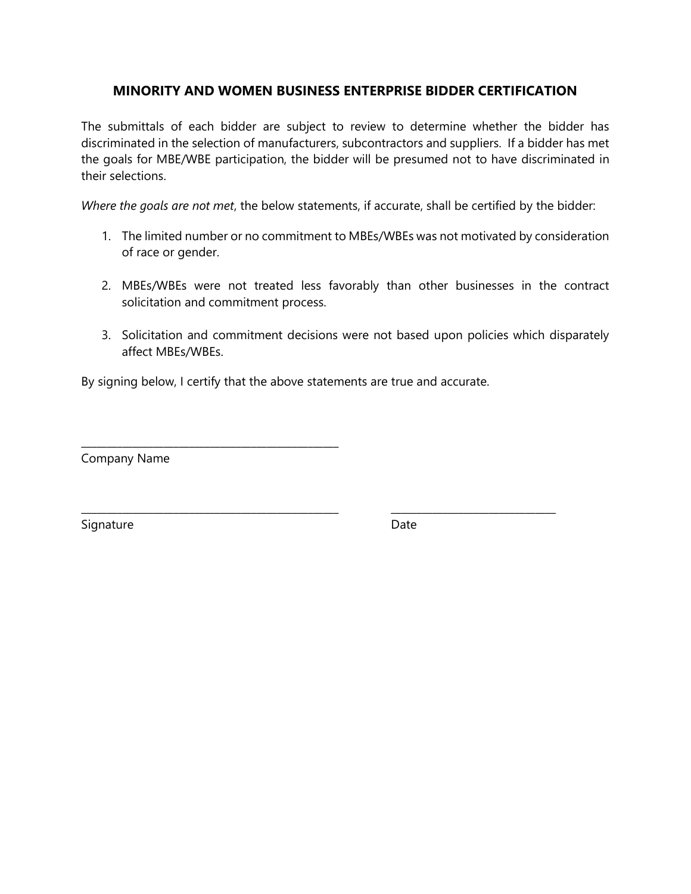# **MINORITY AND WOMEN BUSINESS ENTERPRISE BIDDER CERTIFICATION**

The submittals of each bidder are subject to review to determine whether the bidder has discriminated in the selection of manufacturers, subcontractors and suppliers. If a bidder has met the goals for MBE/WBE participation, the bidder will be presumed not to have discriminated in their selections.

*Where the goals are not met*, the below statements, if accurate, shall be certified by the bidder:

- 1. The limited number or no commitment to MBEs/WBEs was not motivated by consideration of race or gender.
- 2. MBEs/WBEs were not treated less favorably than other businesses in the contract solicitation and commitment process.
- 3. Solicitation and commitment decisions were not based upon policies which disparately affect MBEs/WBEs.

By signing below, I certify that the above statements are true and accurate.

\_\_\_\_\_\_\_\_\_\_\_\_\_\_\_\_\_\_\_\_\_\_\_\_\_\_\_\_\_\_\_\_\_\_\_\_\_\_\_\_\_\_\_\_\_\_\_\_\_\_ \_\_\_\_\_\_\_\_\_\_\_\_\_\_\_\_\_\_\_\_\_\_\_\_\_\_\_\_\_\_\_\_

Company Name

\_\_\_\_\_\_\_\_\_\_\_\_\_\_\_\_\_\_\_\_\_\_\_\_\_\_\_\_\_\_\_\_\_\_\_\_\_\_\_\_\_\_\_\_\_\_\_\_\_\_

Signature Date Date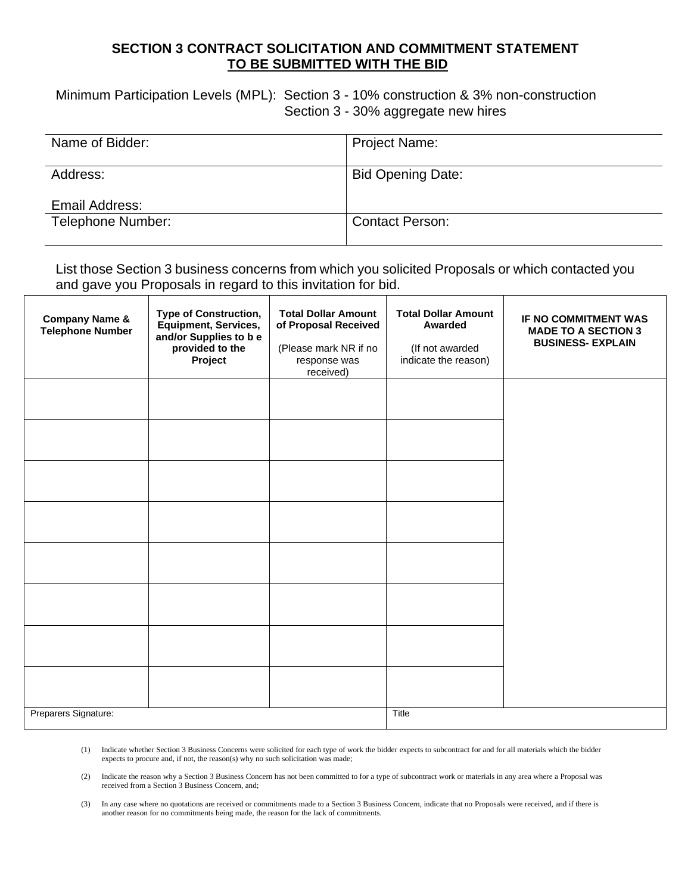#### **SECTION 3 CONTRACT SOLICITATION AND COMMITMENT STATEMENT TO BE SUBMITTED WITH THE BID**

Minimum Participation Levels (MPL): Section 3 - 10% construction & 3% non-construction Section 3 - 30% aggregate new hires

| Name of Bidder:   | <b>Project Name:</b>     |
|-------------------|--------------------------|
| Address:          | <b>Bid Opening Date:</b> |
| Email Address:    |                          |
| Telephone Number: | <b>Contact Person:</b>   |

List those Section 3 business concerns from which you solicited Proposals or which contacted you and gave you Proposals in regard to this invitation for bid.

| <b>Company Name &amp;</b><br><b>Telephone Number</b> | <b>Type of Construction,</b><br><b>Equipment, Services,</b><br>and/or Supplies to b e<br>provided to the<br>Project | <b>Total Dollar Amount</b><br>of Proposal Received<br>(Please mark NR if no<br>response was<br>received) | <b>Total Dollar Amount</b><br>Awarded<br>(If not awarded<br>indicate the reason) | IF NO COMMITMENT WAS<br><b>MADE TO A SECTION 3</b><br><b>BUSINESS- EXPLAIN</b> |
|------------------------------------------------------|---------------------------------------------------------------------------------------------------------------------|----------------------------------------------------------------------------------------------------------|----------------------------------------------------------------------------------|--------------------------------------------------------------------------------|
|                                                      |                                                                                                                     |                                                                                                          |                                                                                  |                                                                                |
|                                                      |                                                                                                                     |                                                                                                          |                                                                                  |                                                                                |
|                                                      |                                                                                                                     |                                                                                                          |                                                                                  |                                                                                |
|                                                      |                                                                                                                     |                                                                                                          |                                                                                  |                                                                                |
|                                                      |                                                                                                                     |                                                                                                          |                                                                                  |                                                                                |
|                                                      |                                                                                                                     |                                                                                                          |                                                                                  |                                                                                |
|                                                      |                                                                                                                     |                                                                                                          |                                                                                  |                                                                                |
|                                                      |                                                                                                                     |                                                                                                          |                                                                                  |                                                                                |
| Preparers Signature:                                 |                                                                                                                     |                                                                                                          | Title                                                                            |                                                                                |

(1) Indicate whether Section 3 Business Concerns were solicited for each type of work the bidder expects to subcontract for and for all materials which the bidder expects to procure and, if not, the reason(s) why no such solicitation was made;

(2) Indicate the reason why a Section 3 Business Concern has not been committed to for a type of subcontract work or materials in any area where a Proposal was received from a Section 3 Business Concern, and;

(3) In any case where no quotations are received or commitments made to a Section 3 Business Concern, indicate that no Proposals were received, and if there is another reason for no commitments being made, the reason for the lack of commitments.